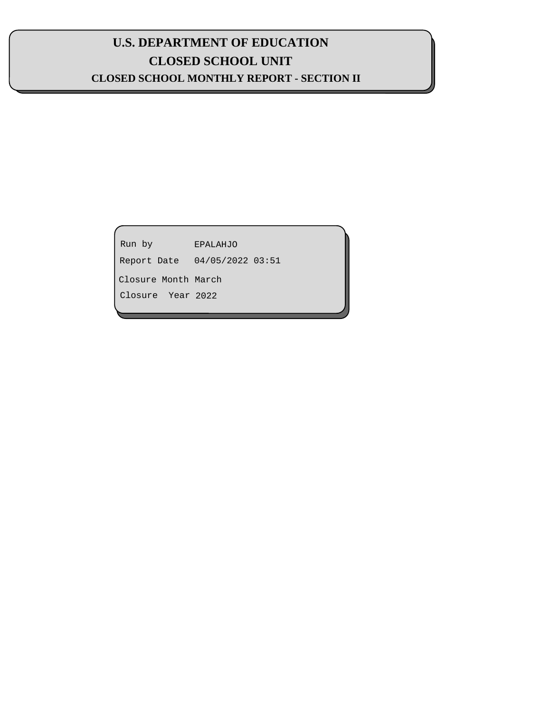# **U.S. DEPARTMENT OF EDUCATION CLOSED SCHOOL UNIT CLOSED SCHOOL MONTHLY REPORT - SECTION II**

| Run by              | <b>EPALAHJO</b>  |  |
|---------------------|------------------|--|
| Report Date         | 04/05/2022 03:51 |  |
| Closure Month March |                  |  |
| Closure Year 2022   |                  |  |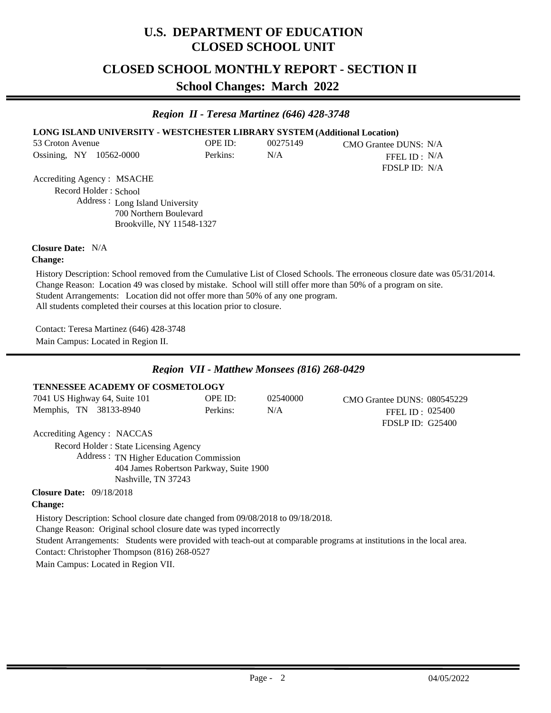# **U.S. DEPARTMENT OF EDUCATION CLOSED SCHOOL UNIT**

## **CLOSED SCHOOL MONTHLY REPORT - SECTION II**

**School Changes: March 2022**

#### *Region II - Teresa Martinez (646) 428-3748*

#### **LONG ISLAND UNIVERSITY - WESTCHESTER LIBRARY SYSTEM (Additional Location)**

| 53 Croton Avenue |  |                         | OPE ID:  | 00275149 | CMO Grantee DUNS: N/A |
|------------------|--|-------------------------|----------|----------|-----------------------|
|                  |  | Ossining, NY 10562-0000 | Perkins: | N/A      | FFEL ID : $N/A$       |
|                  |  |                         |          |          | FDSLP ID: N/A         |

Accrediting Agency : MSACHE Address : Long Island University Record Holder : School

700 Northern Boulevard Brookville, NY 11548-1327

#### Closure Date: N/A

#### **Change:**

Student Arrangements: Location did not offer more than 50% of any one program. All students completed their courses at this location prior to closure. History Description: School removed from the Cumulative List of Closed Schools. The erroneous closure date was 05/31/2014. Change Reason: Location 49 was closed by mistake. School will still offer more than 50% of a program on site.

Contact: Teresa Martinez (646) 428-3748 Main Campus: Located in Region II.

### *Region VII - Matthew Monsees (816) 268-0429*

#### **TENNESSEE ACADEMY OF COSMETOLOGY** 7041 US Highway 64, Suite 101 Memphis, TN 38133-8940 02540000 OPE ID: N/A Perkins: FDSLP ID: G25400 025400 FFEL ID : CMO Grantee DUNS: 080545229

Accrediting Agency : NACCAS

Address : TN Higher Education Commission 404 James Robertson Parkway, Suite 1900 Nashville, TN 37243 Record Holder : State Licensing Agency

09/18/2018 **Closure Date:**

#### **Change:**

Student Arrangements: Students were provided with teach-out at comparable programs at institutions in the local area. History Description: School closure date changed from 09/08/2018 to 09/18/2018. Change Reason: Original school closure date was typed incorrectly Contact: Christopher Thompson (816) 268-0527 Main Campus: Located in Region VII.